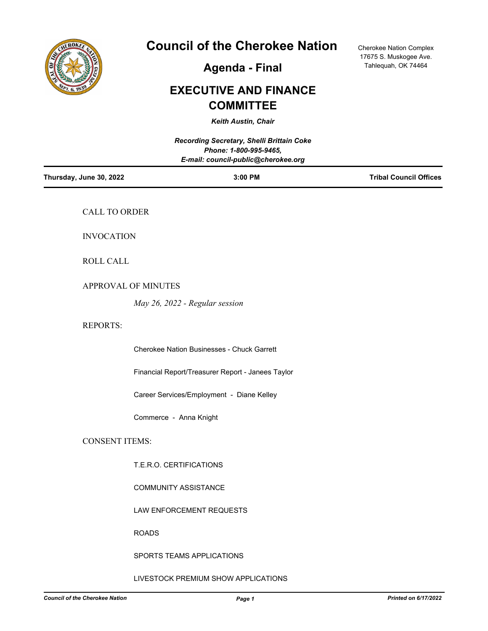

# **Council of the Cherokee Nation**

Cherokee Nation Complex 17675 S. Muskogee Ave. Tahlequah, OK 74464

**Agenda - Final**

# **EXECUTIVE AND FINANCE COMMITTEE**

*Keith Austin, Chair*

| Recording Secretary, Shelli Brittain Coke<br>Phone: 1-800-995-9465,<br>E-mail: council-public@cherokee.org |                                                   |                               |
|------------------------------------------------------------------------------------------------------------|---------------------------------------------------|-------------------------------|
| Thursday, June 30, 2022                                                                                    | 3:00 PM                                           | <b>Tribal Council Offices</b> |
| CALL TO ORDER                                                                                              |                                                   |                               |
| <b>INVOCATION</b>                                                                                          |                                                   |                               |
| ROLL CALL                                                                                                  |                                                   |                               |
|                                                                                                            | APPROVAL OF MINUTES                               |                               |
|                                                                                                            | May 26, 2022 - Regular session                    |                               |
| <b>REPORTS:</b>                                                                                            |                                                   |                               |
|                                                                                                            | <b>Cherokee Nation Businesses - Chuck Garrett</b> |                               |
|                                                                                                            | Financial Report/Treasurer Report - Janees Taylor |                               |
|                                                                                                            | Career Services/Employment - Diane Kelley         |                               |
|                                                                                                            | Commerce - Anna Knight                            |                               |
| <b>CONSENT ITEMS:</b>                                                                                      |                                                   |                               |
|                                                                                                            | T.E.R.O. CERTIFICATIONS                           |                               |
|                                                                                                            | COMMUNITY ASSISTANCE                              |                               |
|                                                                                                            | LAW ENFORCEMENT REQUESTS                          |                               |
|                                                                                                            | <b>ROADS</b>                                      |                               |
|                                                                                                            | SPORTS TEAMS APPLICATIONS                         |                               |

## LIVESTOCK PREMIUM SHOW APPLICATIONS